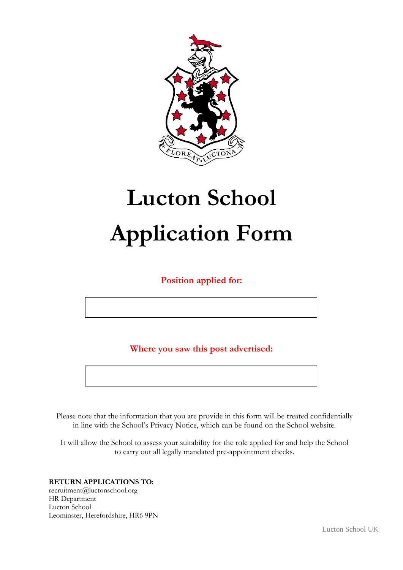

# **Lucton School Application Form**

**Position applied for:**

**Where you saw this post advertised:**

Please note that the information that you are provide in this form will be treated confidentially in line with the School's Privacy Notice, which can be found on the School website.

It will allow the School to assess your suitability for the role applied for and help the School to carry out all legally mandated pre-appointment checks.

**RETURN APPLICATIONS TO:** recruitment@luctonschool.org HR Department Lucton School Leominster, Herefordshire, HR6 9PN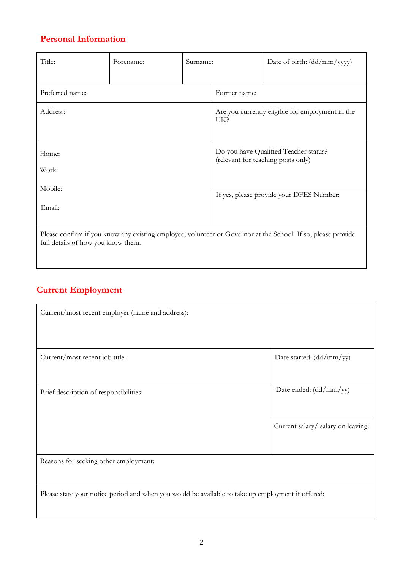# **Personal Information**

| Title:                                                                                                                                             | Forename: | Surname: |                                    | Date of birth: $(dd/mm/yyyy)$                    |
|----------------------------------------------------------------------------------------------------------------------------------------------------|-----------|----------|------------------------------------|--------------------------------------------------|
| Preferred name:                                                                                                                                    |           |          | Former name:                       |                                                  |
| Address:                                                                                                                                           |           |          | UK?                                | Are you currently eligible for employment in the |
| Home:<br>Work:                                                                                                                                     |           |          | (relevant for teaching posts only) | Do you have Qualified Teacher status?            |
| Mobile:<br>Email:                                                                                                                                  |           |          |                                    | If yes, please provide your DFES Number:         |
| Please confirm if you know any existing employee, volunteer or Governor at the School. If so, please provide<br>full details of how you know them. |           |          |                                    |                                                  |

# **Current Employment**

| Current/most recent employer (name and address):                                                  |                                    |  |
|---------------------------------------------------------------------------------------------------|------------------------------------|--|
| Current/most recent job title:                                                                    | Date started: (dd/mm/yy)           |  |
| Brief description of responsibilities:                                                            | Date ended: $(dd/mm/yy)$           |  |
|                                                                                                   | Current salary/ salary on leaving: |  |
| Reasons for seeking other employment:                                                             |                                    |  |
| Please state your notice period and when you would be available to take up employment if offered: |                                    |  |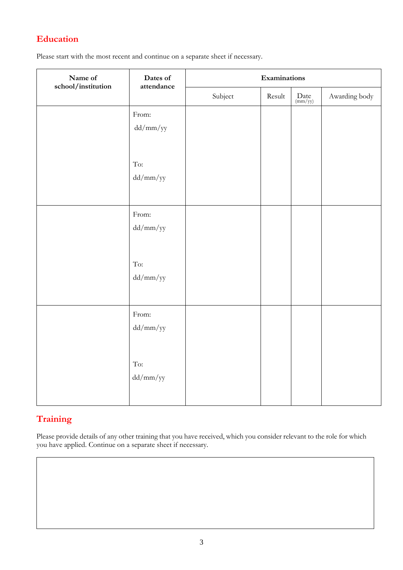## **Education**

Please start with the most recent and continue on a separate sheet if necessary.

| Name of<br>$\emph{school}/\emph{institution}$ | Dates of<br>attendance                | Examinations |        |                                                |               |
|-----------------------------------------------|---------------------------------------|--------------|--------|------------------------------------------------|---------------|
|                                               |                                       | Subject      | Result | $\begin{array}{c} Date \\ (mm/yy) \end{array}$ | Awarding body |
|                                               | From:                                 |              |        |                                                |               |
|                                               | $dd/mm/yy$                            |              |        |                                                |               |
|                                               |                                       |              |        |                                                |               |
|                                               | $\operatorname{\mathsf{To}}\nolimits$ |              |        |                                                |               |
|                                               | dd/mm/yy                              |              |        |                                                |               |
|                                               |                                       |              |        |                                                |               |
|                                               | From:                                 |              |        |                                                |               |
|                                               | dd/mm/yy                              |              |        |                                                |               |
|                                               |                                       |              |        |                                                |               |
|                                               | $\operatorname{\mathsf{To}}\nolimits$ |              |        |                                                |               |
|                                               | dd/mm/yy                              |              |        |                                                |               |
|                                               |                                       |              |        |                                                |               |
|                                               |                                       |              |        |                                                |               |
|                                               | From:                                 |              |        |                                                |               |
|                                               | dd/mm/yy                              |              |        |                                                |               |
|                                               |                                       |              |        |                                                |               |
|                                               | To:                                   |              |        |                                                |               |
|                                               | $dd/mm/yy$                            |              |        |                                                |               |
|                                               |                                       |              |        |                                                |               |
|                                               |                                       |              |        |                                                |               |

## **Training**

Please provide details of any other training that you have received, which you consider relevant to the role for which you have applied. Continue on a separate sheet if necessary.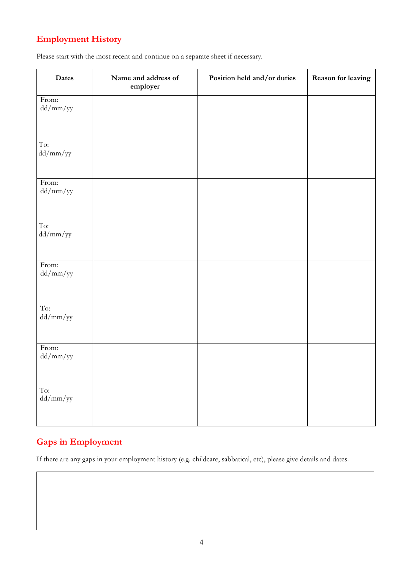# **Employment History**

| Please start with the most recent and continue on a separate sheet if necessary. |  |  |
|----------------------------------------------------------------------------------|--|--|
|                                                                                  |  |  |

| Dates               | Name and address of<br>employer | Position held and/or duties | Reason for leaving |
|---------------------|---------------------------------|-----------------------------|--------------------|
| From:<br>$dd/mm/yy$ |                                 |                             |                    |
| To:<br>$dd/mm/yy$   |                                 |                             |                    |
| From:<br>$dd/mm/yy$ |                                 |                             |                    |
| To:<br>dd/mm/yy     |                                 |                             |                    |
| From:<br>$dd/mm/yy$ |                                 |                             |                    |
| To:<br>$dd/mm/yy$   |                                 |                             |                    |
| From:<br>$dd/mm/yy$ |                                 |                             |                    |
| To:<br>$dd/mm/yy$   |                                 |                             |                    |

## **Gaps in Employment**

If there are any gaps in your employment history (e.g. childcare, sabbatical, etc), please give details and dates.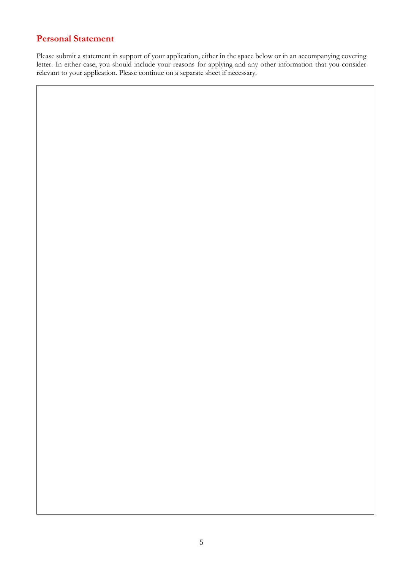#### **Personal Statement**

Please submit a statement in support of your application, either in the space below or in an accompanying covering letter. In either case, you should include your reasons for applying and any other information that you consider relevant to your application. Please continue on a separate sheet if necessary.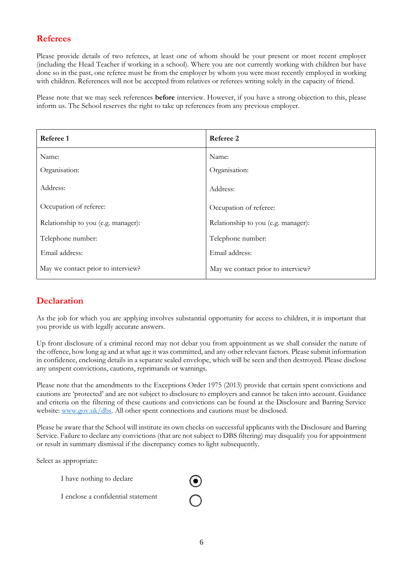#### **Referees**

Please provide details of two referees, at least one of whom should be your present or most recent employer (including the Head Teacher if working in a school). Where you are not currently working with children but have done so in the past, one referee must be from the employer by whom you were most recently employed in working with children. References will not be accepted from relatives or referees writing solely in the capacity of friend.

Please note that we may seek references **before** interview. However, if you have a strong objection to this, please inform us. The School reserves the right to take up references from any previous employer.

| Referee 1                           | Referee 2                           |
|-------------------------------------|-------------------------------------|
| Name:                               | Name:                               |
| Organisation:                       | Organisation:                       |
| Address:                            | Address:                            |
| Occupation of referee:              | Occupation of referee:              |
| Relationship to you (e.g. manager): | Relationship to you (e.g. manager): |
| Telephone number:                   | Telephone number:                   |
| Email address:                      | Email address:                      |
| May we contact prior to interview?  | May we contact prior to interview?  |

### **Declaration**

As the job for which you are applying involves substantial opportunity for access to children, it is important that you provide us with legally accurate answers.

Up front disclosure of a criminal record may not debar you from appointment as we shall consider the nature of the offence, how long ag and at what age it was committed, and any other relevant factors. Please submit information in confidence, enclosing details in a separate sealed envelope, which will be seen and then destroyed. Please disclose any unspent convictions, cautions, reprimands or warnings.

Please note that the amendments to the Exceptions Order 1975 (2013) provide that certain spent convictions and cautions are 'protected' and are not subject to disclosure to employers and cannot be taken into account. Guidance and criteria on the filtering of these cautions and convictions can be found at the Disclosure and Barring Service website: [www.gov.uk/dbs.](http://www.gov.uk/dbs) All other spent connections and cautions must be disclosed.

Please be aware that the School will institute its own checks on successful applicants with the Disclosure and Barring Service. Failure to declare any convictions (that are not subject to DBS filtering) may disqualify you for appointment or result in summary dismissal if the discrepancy comes to light subsequently.

Select as appropriate:

I have nothing to declare

I enclose a confidential statement